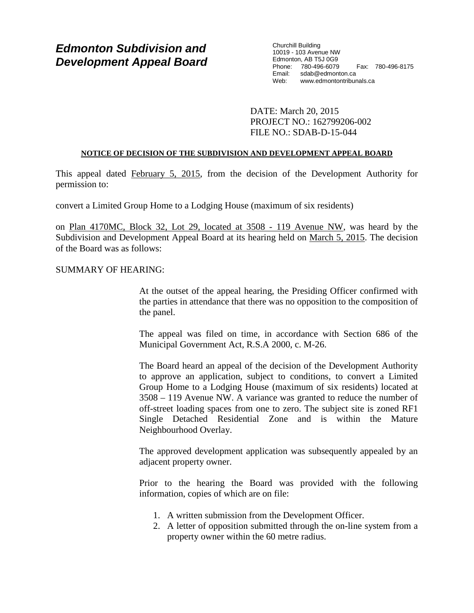# *Edmonton Subdivision and Development Appeal Board*

Churchill Building 10019 - 103 Avenue NW Edmonton, AB T5J 0G9 Phone: 780-496-6079 Fax: 780-496-8175 Email: sdab@edmonton.ca<br>Web: www.edmontontribur www.edmontontribunals.ca

DATE: March 20, 2015 PROJECT NO.: 162799206-002 FILE NO.: SDAB-D-15-044

# **NOTICE OF DECISION OF THE SUBDIVISION AND DEVELOPMENT APPEAL BOARD**

This appeal dated February 5, 2015, from the decision of the Development Authority for permission to:

convert a Limited Group Home to a Lodging House (maximum of six residents)

on Plan 4170MC, Block 32, Lot 29, located at 3508 - 119 Avenue NW, was heard by the Subdivision and Development Appeal Board at its hearing held on March 5, 2015. The decision of the Board was as follows:

# SUMMARY OF HEARING:

At the outset of the appeal hearing, the Presiding Officer confirmed with the parties in attendance that there was no opposition to the composition of the panel.

The appeal was filed on time, in accordance with Section 686 of the Municipal Government Act, R.S.A 2000, c. M-26.

The Board heard an appeal of the decision of the Development Authority to approve an application, subject to conditions, to convert a Limited Group Home to a Lodging House (maximum of six residents) located at 3508 – 119 Avenue NW. A variance was granted to reduce the number of off-street loading spaces from one to zero. The subject site is zoned RF1 Single Detached Residential Zone and is within the Mature Neighbourhood Overlay.

The approved development application was subsequently appealed by an adjacent property owner.

Prior to the hearing the Board was provided with the following information, copies of which are on file:

- 1. A written submission from the Development Officer.
- 2. A letter of opposition submitted through the on-line system from a property owner within the 60 metre radius.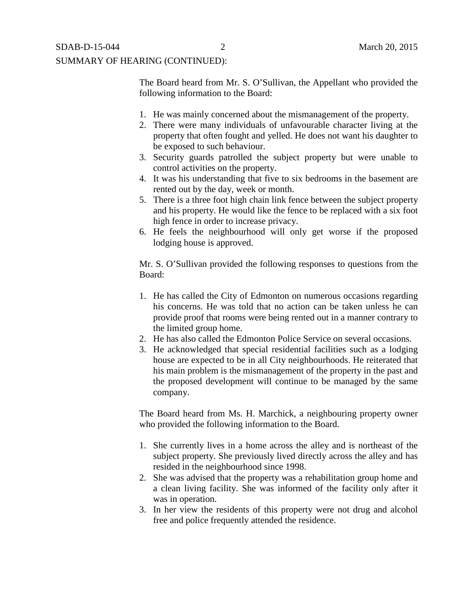The Board heard from Mr. S. O'Sullivan, the Appellant who provided the following information to the Board:

- 1. He was mainly concerned about the mismanagement of the property.
- 2. There were many individuals of unfavourable character living at the property that often fought and yelled. He does not want his daughter to be exposed to such behaviour.
- 3. Security guards patrolled the subject property but were unable to control activities on the property.
- 4. It was his understanding that five to six bedrooms in the basement are rented out by the day, week or month.
- 5. There is a three foot high chain link fence between the subject property and his property. He would like the fence to be replaced with a six foot high fence in order to increase privacy.
- 6. He feels the neighbourhood will only get worse if the proposed lodging house is approved.

Mr. S. O'Sullivan provided the following responses to questions from the Board:

- 1. He has called the City of Edmonton on numerous occasions regarding his concerns. He was told that no action can be taken unless he can provide proof that rooms were being rented out in a manner contrary to the limited group home.
- 2. He has also called the Edmonton Police Service on several occasions.
- 3. He acknowledged that special residential facilities such as a lodging house are expected to be in all City neighbourhoods. He reiterated that his main problem is the mismanagement of the property in the past and the proposed development will continue to be managed by the same company.

The Board heard from Ms. H. Marchick, a neighbouring property owner who provided the following information to the Board.

- 1. She currently lives in a home across the alley and is northeast of the subject property. She previously lived directly across the alley and has resided in the neighbourhood since 1998.
- 2. She was advised that the property was a rehabilitation group home and a clean living facility. She was informed of the facility only after it was in operation.
- 3. In her view the residents of this property were not drug and alcohol free and police frequently attended the residence.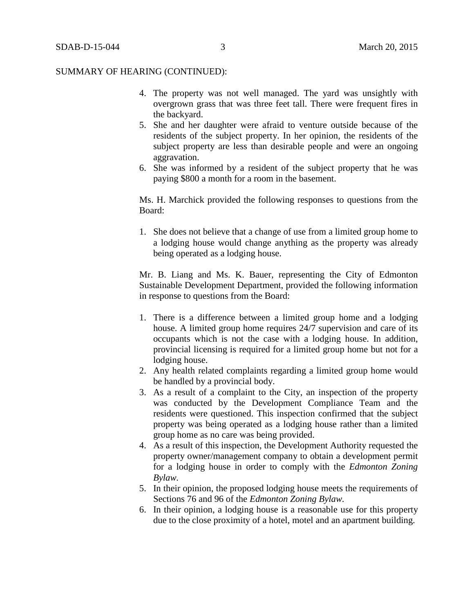- 4. The property was not well managed. The yard was unsightly with overgrown grass that was three feet tall. There were frequent fires in the backyard.
- 5. She and her daughter were afraid to venture outside because of the residents of the subject property. In her opinion, the residents of the subject property are less than desirable people and were an ongoing aggravation.
- 6. She was informed by a resident of the subject property that he was paying \$800 a month for a room in the basement.

Ms. H. Marchick provided the following responses to questions from the Board:

1. She does not believe that a change of use from a limited group home to a lodging house would change anything as the property was already being operated as a lodging house.

Mr. B. Liang and Ms. K. Bauer, representing the City of Edmonton Sustainable Development Department, provided the following information in response to questions from the Board:

- 1. There is a difference between a limited group home and a lodging house. A limited group home requires 24/7 supervision and care of its occupants which is not the case with a lodging house. In addition, provincial licensing is required for a limited group home but not for a lodging house.
- 2. Any health related complaints regarding a limited group home would be handled by a provincial body.
- 3. As a result of a complaint to the City, an inspection of the property was conducted by the Development Compliance Team and the residents were questioned. This inspection confirmed that the subject property was being operated as a lodging house rather than a limited group home as no care was being provided.
- 4. As a result of this inspection, the Development Authority requested the property owner/management company to obtain a development permit for a lodging house in order to comply with the *Edmonton Zoning Bylaw.*
- 5. In their opinion, the proposed lodging house meets the requirements of Sections 76 and 96 of the *Edmonton Zoning Bylaw.*
- 6. In their opinion, a lodging house is a reasonable use for this property due to the close proximity of a hotel, motel and an apartment building.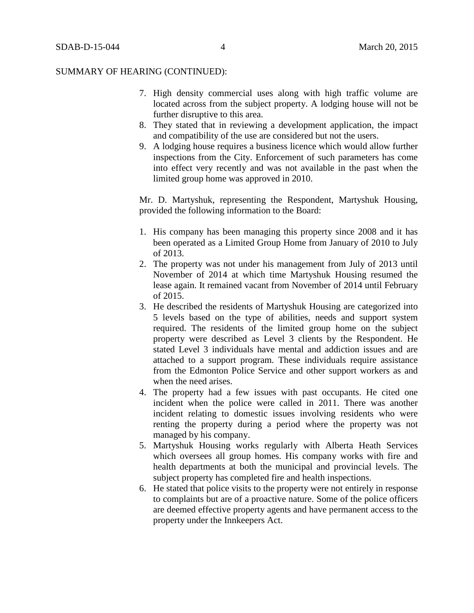- 7. High density commercial uses along with high traffic volume are located across from the subject property. A lodging house will not be further disruptive to this area.
- 8. They stated that in reviewing a development application, the impact and compatibility of the use are considered but not the users.
- 9. A lodging house requires a business licence which would allow further inspections from the City. Enforcement of such parameters has come into effect very recently and was not available in the past when the limited group home was approved in 2010.

Mr. D. Martyshuk, representing the Respondent, Martyshuk Housing, provided the following information to the Board:

- 1. His company has been managing this property since 2008 and it has been operated as a Limited Group Home from January of 2010 to July of 2013.
- 2. The property was not under his management from July of 2013 until November of 2014 at which time Martyshuk Housing resumed the lease again. It remained vacant from November of 2014 until February of 2015.
- 3. He described the residents of Martyshuk Housing are categorized into 5 levels based on the type of abilities, needs and support system required. The residents of the limited group home on the subject property were described as Level 3 clients by the Respondent. He stated Level 3 individuals have mental and addiction issues and are attached to a support program. These individuals require assistance from the Edmonton Police Service and other support workers as and when the need arises.
- 4. The property had a few issues with past occupants. He cited one incident when the police were called in 2011. There was another incident relating to domestic issues involving residents who were renting the property during a period where the property was not managed by his company.
- 5. Martyshuk Housing works regularly with Alberta Heath Services which oversees all group homes. His company works with fire and health departments at both the municipal and provincial levels. The subject property has completed fire and health inspections.
- 6. He stated that police visits to the property were not entirely in response to complaints but are of a proactive nature. Some of the police officers are deemed effective property agents and have permanent access to the property under the Innkeepers Act.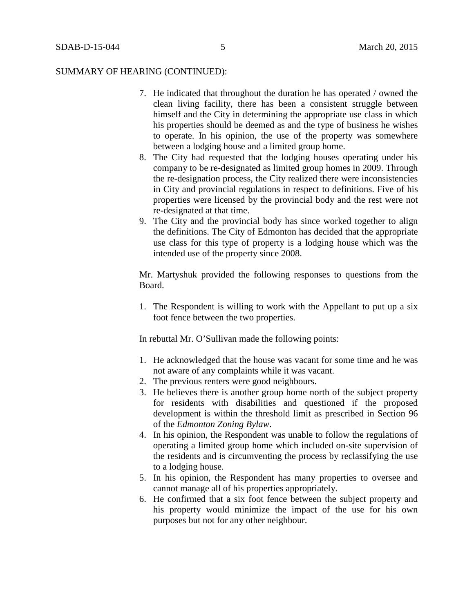- 7. He indicated that throughout the duration he has operated / owned the clean living facility, there has been a consistent struggle between himself and the City in determining the appropriate use class in which his properties should be deemed as and the type of business he wishes to operate. In his opinion, the use of the property was somewhere between a lodging house and a limited group home.
- 8. The City had requested that the lodging houses operating under his company to be re-designated as limited group homes in 2009. Through the re-designation process, the City realized there were inconsistencies in City and provincial regulations in respect to definitions. Five of his properties were licensed by the provincial body and the rest were not re-designated at that time.
- 9. The City and the provincial body has since worked together to align the definitions. The City of Edmonton has decided that the appropriate use class for this type of property is a lodging house which was the intended use of the property since 2008.

Mr. Martyshuk provided the following responses to questions from the Board.

1. The Respondent is willing to work with the Appellant to put up a six foot fence between the two properties.

In rebuttal Mr. O'Sullivan made the following points:

- 1. He acknowledged that the house was vacant for some time and he was not aware of any complaints while it was vacant.
- 2. The previous renters were good neighbours.
- 3. He believes there is another group home north of the subject property for residents with disabilities and questioned if the proposed development is within the threshold limit as prescribed in Section 96 of the *Edmonton Zoning Bylaw*.
- 4. In his opinion, the Respondent was unable to follow the regulations of operating a limited group home which included on-site supervision of the residents and is circumventing the process by reclassifying the use to a lodging house.
- 5. In his opinion, the Respondent has many properties to oversee and cannot manage all of his properties appropriately.
- 6. He confirmed that a six foot fence between the subject property and his property would minimize the impact of the use for his own purposes but not for any other neighbour.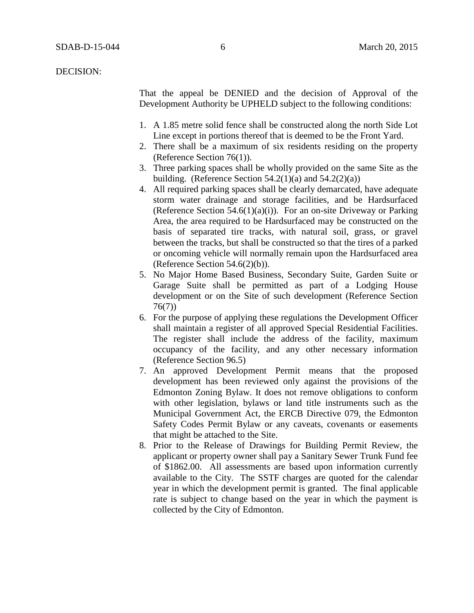DECISION:

That the appeal be DENIED and the decision of Approval of the Development Authority be UPHELD subject to the following conditions:

- 1. A 1.85 metre solid fence shall be constructed along the north Side Lot Line except in portions thereof that is deemed to be the Front Yard.
- 2. There shall be a maximum of six residents residing on the property (Reference Section 76(1)).
- 3. Three parking spaces shall be wholly provided on the same Site as the building. (Reference Section  $54.2(1)(a)$  and  $54.2(2)(a)$ )
- 4. All required parking spaces shall be clearly demarcated, have adequate storm water drainage and storage facilities, and be Hardsurfaced (Reference Section 54.6(1)(a)(i)). For an on-site Driveway or Parking Area, the area required to be Hardsurfaced may be constructed on the basis of separated tire tracks, with natural soil, grass, or gravel between the tracks, but shall be constructed so that the tires of a parked or oncoming vehicle will normally remain upon the Hardsurfaced area (Reference Section  $54.6(2)(b)$ ).
- 5. No Major Home Based Business, Secondary Suite, Garden Suite or Garage Suite shall be permitted as part of a Lodging House development or on the Site of such development (Reference Section 76(7))
- 6. For the purpose of applying these regulations the Development Officer shall maintain a register of all approved Special Residential Facilities. The register shall include the address of the facility, maximum occupancy of the facility, and any other necessary information (Reference Section 96.5)
- 7. An approved Development Permit means that the proposed development has been reviewed only against the provisions of the Edmonton Zoning Bylaw. It does not remove obligations to conform with other legislation, bylaws or land title instruments such as the Municipal Government Act, the ERCB Directive 079, the Edmonton Safety Codes Permit Bylaw or any caveats, covenants or easements that might be attached to the Site.
- 8. Prior to the Release of Drawings for Building Permit Review, the applicant or property owner shall pay a Sanitary Sewer Trunk Fund fee of \$1862.00. All assessments are based upon information currently available to the City. The SSTF charges are quoted for the calendar year in which the development permit is granted. The final applicable rate is subject to change based on the year in which the payment is collected by the City of Edmonton.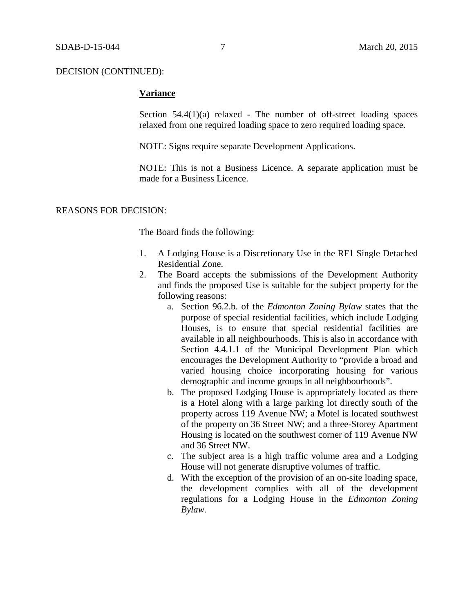# **Variance**

Section  $54.4(1)(a)$  relaxed - The number of off-street loading spaces relaxed from one required loading space to zero required loading space.

NOTE: Signs require separate Development Applications.

NOTE: This is not a Business Licence. A separate application must be made for a Business Licence.

#### REASONS FOR DECISION:

The Board finds the following:

- 1. A Lodging House is a Discretionary Use in the RF1 Single Detached Residential Zone.
- 2. The Board accepts the submissions of the Development Authority and finds the proposed Use is suitable for the subject property for the following reasons:
	- a. Section 96.2.b. of the *Edmonton Zoning Bylaw* states that the purpose of special residential facilities, which include Lodging Houses, is to ensure that special residential facilities are available in all neighbourhoods. This is also in accordance with Section 4.4.1.1 of the Municipal Development Plan which encourages the Development Authority to "provide a broad and varied housing choice incorporating housing for various demographic and income groups in all neighbourhoods".
	- b. The proposed Lodging House is appropriately located as there is a Hotel along with a large parking lot directly south of the property across 119 Avenue NW; a Motel is located southwest of the property on 36 Street NW; and a three-Storey Apartment Housing is located on the southwest corner of 119 Avenue NW and 36 Street NW.
	- c. The subject area is a high traffic volume area and a Lodging House will not generate disruptive volumes of traffic.
	- d. With the exception of the provision of an on-site loading space, the development complies with all of the development regulations for a Lodging House in the *Edmonton Zoning Bylaw.*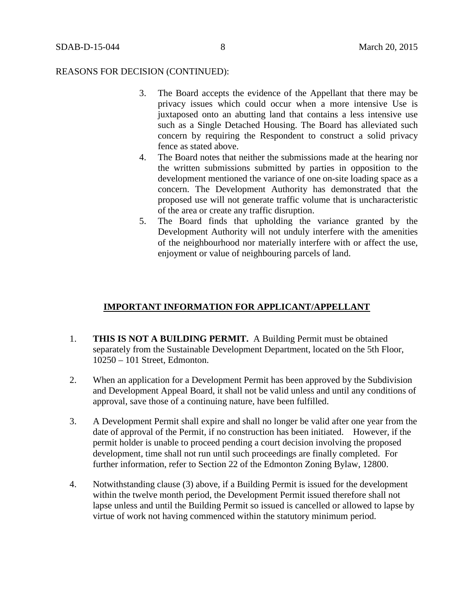#### REASONS FOR DECISION (CONTINUED):

- 3. The Board accepts the evidence of the Appellant that there may be privacy issues which could occur when a more intensive Use is juxtaposed onto an abutting land that contains a less intensive use such as a Single Detached Housing. The Board has alleviated such concern by requiring the Respondent to construct a solid privacy fence as stated above.
- 4. The Board notes that neither the submissions made at the hearing nor the written submissions submitted by parties in opposition to the development mentioned the variance of one on-site loading space as a concern. The Development Authority has demonstrated that the proposed use will not generate traffic volume that is uncharacteristic of the area or create any traffic disruption.
- 5. The Board finds that upholding the variance granted by the Development Authority will not unduly interfere with the amenities of the neighbourhood nor materially interfere with or affect the use, enjoyment or value of neighbouring parcels of land.

# **IMPORTANT INFORMATION FOR APPLICANT/APPELLANT**

- 1. **THIS IS NOT A BUILDING PERMIT.** A Building Permit must be obtained separately from the Sustainable Development Department, located on the 5th Floor, 10250 – 101 Street, Edmonton.
- 2. When an application for a Development Permit has been approved by the Subdivision and Development Appeal Board, it shall not be valid unless and until any conditions of approval, save those of a continuing nature, have been fulfilled.
- 3. A Development Permit shall expire and shall no longer be valid after one year from the date of approval of the Permit, if no construction has been initiated. However, if the permit holder is unable to proceed pending a court decision involving the proposed development, time shall not run until such proceedings are finally completed. For further information, refer to Section 22 of the Edmonton Zoning Bylaw, 12800.
- 4. Notwithstanding clause (3) above, if a Building Permit is issued for the development within the twelve month period, the Development Permit issued therefore shall not lapse unless and until the Building Permit so issued is cancelled or allowed to lapse by virtue of work not having commenced within the statutory minimum period.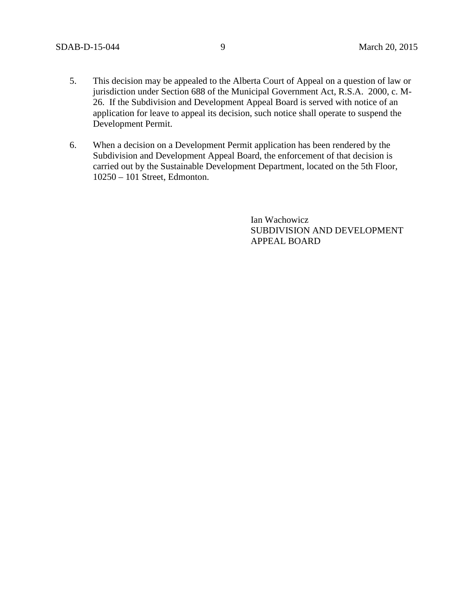- 5. This decision may be appealed to the Alberta Court of Appeal on a question of law or jurisdiction under Section 688 of the Municipal Government Act, R.S.A. 2000, c. M-26. If the Subdivision and Development Appeal Board is served with notice of an application for leave to appeal its decision, such notice shall operate to suspend the Development Permit.
- 6. When a decision on a Development Permit application has been rendered by the Subdivision and Development Appeal Board, the enforcement of that decision is carried out by the Sustainable Development Department, located on the 5th Floor, 10250 – 101 Street, Edmonton.

Ian Wachowicz SUBDIVISION AND DEVELOPMENT APPEAL BOARD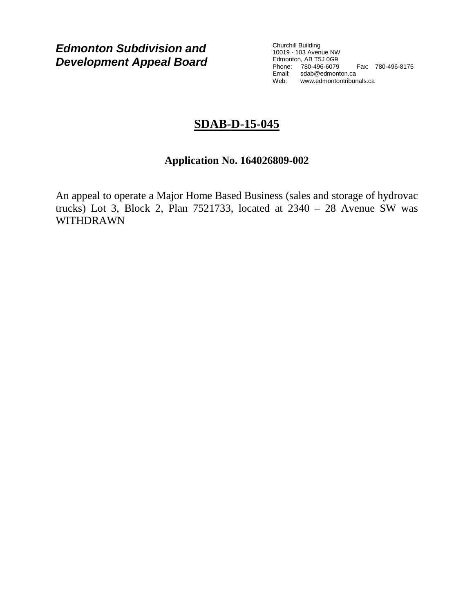*Edmonton Subdivision and Development Appeal Board*

Churchill Building 10019 - 103 Avenue NW Edmonton, AB T5J 0G9 Phone: 780-496-6079 Fax: 780-496-8175 Email: sdab@edmonton.ca Web: www.edmontontribunals.ca

# **SDAB-D-15-045**

# **Application No. 164026809-002**

An appeal to operate a Major Home Based Business (sales and storage of hydrovac trucks) Lot 3, Block 2, Plan  $7521733$ , located at  $2340 - 28$  Avenue SW was WITHDRAWN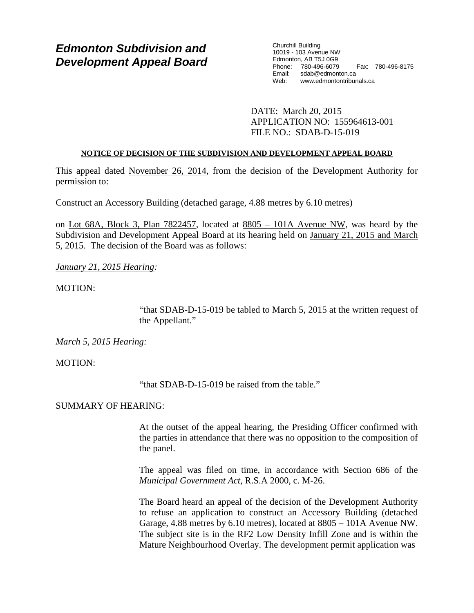# *Edmonton Subdivision and Development Appeal Board*

Churchill Building 10019 - 103 Avenue NW Edmonton, AB T5J 0G9 Phone: 780-496-6079 Fax: 780-496-8175 Email: sdab@edmonton.ca<br>Web: www.edmontontribur www.edmontontribunals.ca

DATE: March 20, 2015 APPLICATION NO: 155964613-001 FILE NO.: SDAB-D-15-019

# **NOTICE OF DECISION OF THE SUBDIVISION AND DEVELOPMENT APPEAL BOARD**

This appeal dated November 26, 2014, from the decision of the Development Authority for permission to:

Construct an Accessory Building (detached garage, 4.88 metres by 6.10 metres)

on Lot 68A, Block 3, Plan 7822457, located at 8805 – 101A Avenue NW, was heard by the Subdivision and Development Appeal Board at its hearing held on January 21, 2015 and March 5, 2015. The decision of the Board was as follows:

*January 21, 2015 Hearing:*

MOTION:

"that SDAB-D-15-019 be tabled to March 5, 2015 at the written request of the Appellant."

*March 5, 2015 Hearing:*

MOTION:

"that SDAB-D-15-019 be raised from the table."

# SUMMARY OF HEARING:

At the outset of the appeal hearing, the Presiding Officer confirmed with the parties in attendance that there was no opposition to the composition of the panel.

The appeal was filed on time, in accordance with Section 686 of the *Municipal Government Act*, R.S.A 2000, c. M-26.

The Board heard an appeal of the decision of the Development Authority to refuse an application to construct an Accessory Building (detached Garage, 4.88 metres by 6.10 metres), located at 8805 – 101A Avenue NW. The subject site is in the RF2 Low Density Infill Zone and is within the Mature Neighbourhood Overlay. The development permit application was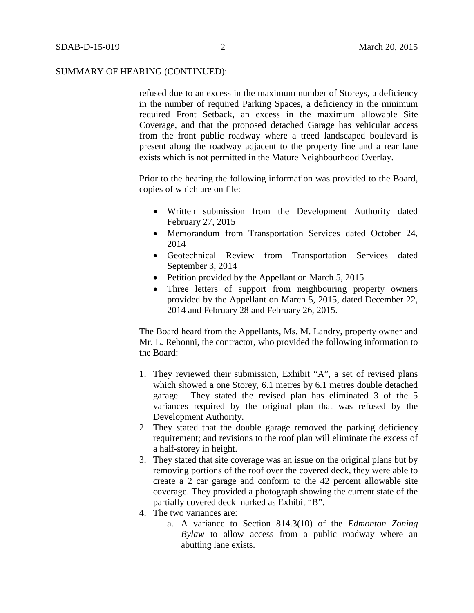refused due to an excess in the maximum number of Storeys, a deficiency in the number of required Parking Spaces, a deficiency in the minimum required Front Setback, an excess in the maximum allowable Site Coverage, and that the proposed detached Garage has vehicular access from the front public roadway where a treed landscaped boulevard is present along the roadway adjacent to the property line and a rear lane exists which is not permitted in the Mature Neighbourhood Overlay.

Prior to the hearing the following information was provided to the Board, copies of which are on file:

- Written submission from the Development Authority dated February 27, 2015
- Memorandum from Transportation Services dated October 24, 2014
- Geotechnical Review from Transportation Services dated September 3, 2014
- Petition provided by the Appellant on March 5, 2015
- Three letters of support from neighbouring property owners provided by the Appellant on March 5, 2015, dated December 22, 2014 and February 28 and February 26, 2015.

The Board heard from the Appellants, Ms. M. Landry, property owner and Mr. L. Rebonni, the contractor, who provided the following information to the Board:

- 1. They reviewed their submission, Exhibit "A", a set of revised plans which showed a one Storey, 6.1 metres by 6.1 metres double detached garage. They stated the revised plan has eliminated 3 of the 5 variances required by the original plan that was refused by the Development Authority.
- 2. They stated that the double garage removed the parking deficiency requirement; and revisions to the roof plan will eliminate the excess of a half-storey in height.
- 3. They stated that site coverage was an issue on the original plans but by removing portions of the roof over the covered deck, they were able to create a 2 car garage and conform to the 42 percent allowable site coverage. They provided a photograph showing the current state of the partially covered deck marked as Exhibit "B".
- 4. The two variances are:
	- a. A variance to Section 814.3(10) of the *Edmonton Zoning Bylaw* to allow access from a public roadway where an abutting lane exists.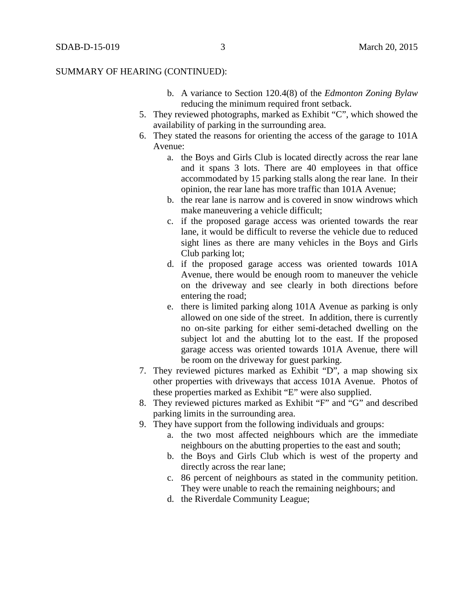- b. A variance to Section 120.4(8) of the *Edmonton Zoning Bylaw* reducing the minimum required front setback.
- 5. They reviewed photographs, marked as Exhibit "C", which showed the availability of parking in the surrounding area.
- 6. They stated the reasons for orienting the access of the garage to 101A Avenue:
	- a. the Boys and Girls Club is located directly across the rear lane and it spans 3 lots. There are 40 employees in that office accommodated by 15 parking stalls along the rear lane. In their opinion, the rear lane has more traffic than 101A Avenue;
	- b. the rear lane is narrow and is covered in snow windrows which make maneuvering a vehicle difficult;
	- c. if the proposed garage access was oriented towards the rear lane, it would be difficult to reverse the vehicle due to reduced sight lines as there are many vehicles in the Boys and Girls Club parking lot;
	- d. if the proposed garage access was oriented towards 101A Avenue, there would be enough room to maneuver the vehicle on the driveway and see clearly in both directions before entering the road;
	- e. there is limited parking along 101A Avenue as parking is only allowed on one side of the street. In addition, there is currently no on-site parking for either semi-detached dwelling on the subject lot and the abutting lot to the east. If the proposed garage access was oriented towards 101A Avenue, there will be room on the driveway for guest parking.
- 7. They reviewed pictures marked as Exhibit "D", a map showing six other properties with driveways that access 101A Avenue. Photos of these properties marked as Exhibit "E" were also supplied.
- 8. They reviewed pictures marked as Exhibit "F" and "G" and described parking limits in the surrounding area.
- 9. They have support from the following individuals and groups:
	- a. the two most affected neighbours which are the immediate neighbours on the abutting properties to the east and south;
	- b. the Boys and Girls Club which is west of the property and directly across the rear lane;
	- c. 86 percent of neighbours as stated in the community petition. They were unable to reach the remaining neighbours; and
	- d. the Riverdale Community League;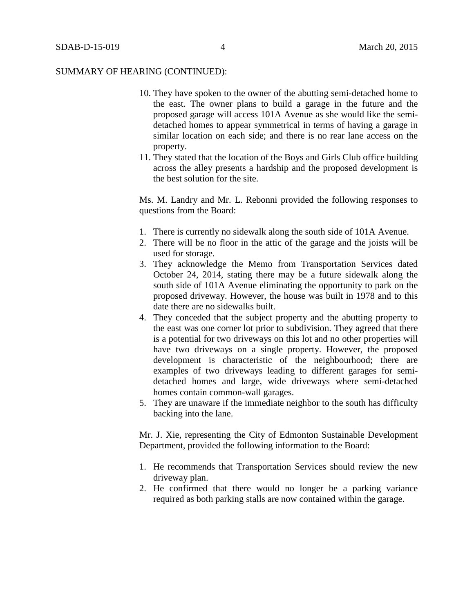- 10. They have spoken to the owner of the abutting semi-detached home to the east. The owner plans to build a garage in the future and the proposed garage will access 101A Avenue as she would like the semidetached homes to appear symmetrical in terms of having a garage in similar location on each side; and there is no rear lane access on the property.
- 11. They stated that the location of the Boys and Girls Club office building across the alley presents a hardship and the proposed development is the best solution for the site.

Ms. M. Landry and Mr. L. Rebonni provided the following responses to questions from the Board:

- 1. There is currently no sidewalk along the south side of 101A Avenue.
- 2. There will be no floor in the attic of the garage and the joists will be used for storage.
- 3. They acknowledge the Memo from Transportation Services dated October 24, 2014, stating there may be a future sidewalk along the south side of 101A Avenue eliminating the opportunity to park on the proposed driveway. However, the house was built in 1978 and to this date there are no sidewalks built.
- 4. They conceded that the subject property and the abutting property to the east was one corner lot prior to subdivision. They agreed that there is a potential for two driveways on this lot and no other properties will have two driveways on a single property. However, the proposed development is characteristic of the neighbourhood; there are examples of two driveways leading to different garages for semidetached homes and large, wide driveways where semi-detached homes contain common-wall garages.
- 5. They are unaware if the immediate neighbor to the south has difficulty backing into the lane.

Mr. J. Xie, representing the City of Edmonton Sustainable Development Department, provided the following information to the Board:

- 1. He recommends that Transportation Services should review the new driveway plan.
- 2. He confirmed that there would no longer be a parking variance required as both parking stalls are now contained within the garage.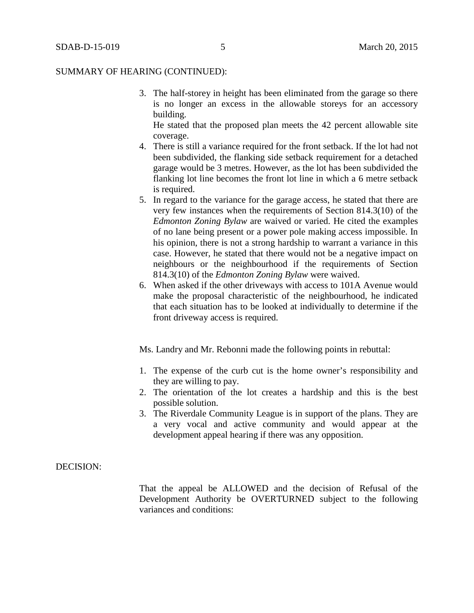3. The half-storey in height has been eliminated from the garage so there is no longer an excess in the allowable storeys for an accessory building.

He stated that the proposed plan meets the 42 percent allowable site coverage.

- 4. There is still a variance required for the front setback. If the lot had not been subdivided, the flanking side setback requirement for a detached garage would be 3 metres. However, as the lot has been subdivided the flanking lot line becomes the front lot line in which a 6 metre setback is required.
- 5. In regard to the variance for the garage access, he stated that there are very few instances when the requirements of Section 814.3(10) of the *Edmonton Zoning Bylaw* are waived or varied. He cited the examples of no lane being present or a power pole making access impossible. In his opinion, there is not a strong hardship to warrant a variance in this case. However, he stated that there would not be a negative impact on neighbours or the neighbourhood if the requirements of Section 814.3(10) of the *Edmonton Zoning Bylaw* were waived.
- 6. When asked if the other driveways with access to 101A Avenue would make the proposal characteristic of the neighbourhood, he indicated that each situation has to be looked at individually to determine if the front driveway access is required.

Ms. Landry and Mr. Rebonni made the following points in rebuttal:

- 1. The expense of the curb cut is the home owner's responsibility and they are willing to pay.
- 2. The orientation of the lot creates a hardship and this is the best possible solution.
- 3. The Riverdale Community League is in support of the plans. They are a very vocal and active community and would appear at the development appeal hearing if there was any opposition.

#### DECISION:

That the appeal be ALLOWED and the decision of Refusal of the Development Authority be OVERTURNED subject to the following variances and conditions: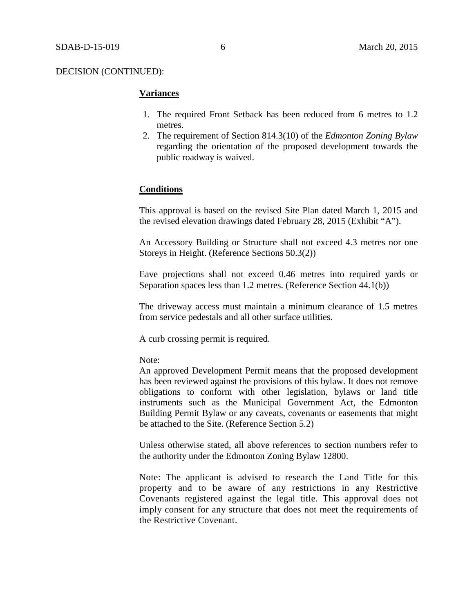# **Variances**

- 1. The required Front Setback has been reduced from 6 metres to 1.2 metres.
- 2. The requirement of Section 814.3(10) of the *Edmonton Zoning Bylaw* regarding the orientation of the proposed development towards the public roadway is waived.

# **Conditions**

This approval is based on the revised Site Plan dated March 1, 2015 and the revised elevation drawings dated February 28, 2015 (Exhibit "A").

An Accessory Building or Structure shall not exceed 4.3 metres nor one Storeys in Height. (Reference Sections 50.3(2))

Eave projections shall not exceed 0.46 metres into required yards or Separation spaces less than 1.2 metres. (Reference Section 44.1(b))

The driveway access must maintain a minimum clearance of 1.5 metres from service pedestals and all other surface utilities.

A curb crossing permit is required.

Note:

An approved Development Permit means that the proposed development has been reviewed against the provisions of this bylaw. It does not remove obligations to conform with other legislation, bylaws or land title instruments such as the Municipal Government Act, the Edmonton Building Permit Bylaw or any caveats, covenants or easements that might be attached to the Site. (Reference Section 5.2)

Unless otherwise stated, all above references to section numbers refer to the authority under the Edmonton Zoning Bylaw 12800.

Note: The applicant is advised to research the Land Title for this property and to be aware of any restrictions in any Restrictive Covenants registered against the legal title. This approval does not imply consent for any structure that does not meet the requirements of the Restrictive Covenant.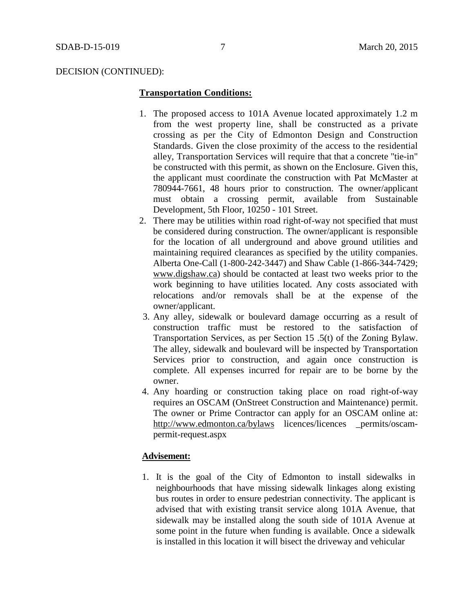#### **Transportation Conditions:**

- 1. The proposed access to 101A Avenue located approximately 1.2 m from the west property line, shall be constructed as a private crossing as per the City of Edmonton Design and Construction Standards. Given the close proximity of the access to the residential alley, Transportation Services will require that that a concrete "tie-in" be constructed with this permit, as shown on the Enclosure. Given this, the applicant must coordinate the construction with Pat McMaster at 780944-7661, 48 hours prior to construction. The owner/applicant must obtain a crossing permit, available from Sustainable Development, 5th Floor, 10250 - 101 Street.
- 2. There may be utilities within road right-of-way not specified that must be considered during construction. The owner/applicant is responsible for the location of all underground and above ground utilities and maintaining required clearances as specified by the utility companies. Alberta One-Call (1-800-242-3447) and Shaw Cable (1-866-344-7429; [www.digshaw.ca\)](http://www.digshaw.ca/) should be contacted at least two weeks prior to the work beginning to have utilities located. Any costs associated with relocations and/or removals shall be at the expense of the owner/applicant.
- 3. Any alley, sidewalk or boulevard damage occurring as a result of construction traffic must be restored to the satisfaction of Transportation Services, as per Section 15 .5(t) of the Zoning Bylaw. The alley, sidewalk and boulevard will be inspected by Transportation Services prior to construction, and again once construction is complete. All expenses incurred for repair are to be borne by the owner.
- 4. Any hoarding or construction taking place on road right-of-way requires an OSCAM (OnStreet Construction and Maintenance) permit. The owner or Prime Contractor can apply for an OSCAM online at: <http://www.edmonton.ca/bylaws> licences/licences \_permits/oscampermit-request.aspx

# **Advisement:**

1. It is the goal of the City of Edmonton to install sidewalks in neighbourhoods that have missing sidewalk linkages along existing bus routes in order to ensure pedestrian connectivity. The applicant is advised that with existing transit service along 101A Avenue, that sidewalk may be installed along the south side of 101A Avenue at some point in the future when funding is available. Once a sidewalk is installed in this location it will bisect the driveway and vehicular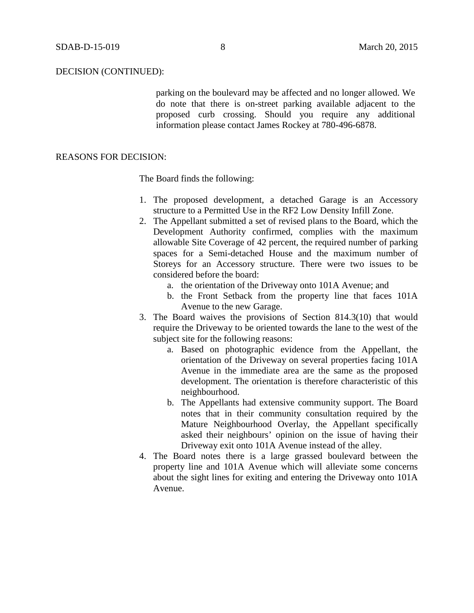parking on the boulevard may be affected and no longer allowed. We do note that there is on-street parking available adjacent to the proposed curb crossing. Should you require any additional information please contact James Rockey at 780-496-6878.

# REASONS FOR DECISION:

The Board finds the following:

- 1. The proposed development, a detached Garage is an Accessory structure to a Permitted Use in the RF2 Low Density Infill Zone.
- 2. The Appellant submitted a set of revised plans to the Board, which the Development Authority confirmed, complies with the maximum allowable Site Coverage of 42 percent, the required number of parking spaces for a Semi-detached House and the maximum number of Storeys for an Accessory structure. There were two issues to be considered before the board:
	- a. the orientation of the Driveway onto 101A Avenue; and
	- b. the Front Setback from the property line that faces 101A Avenue to the new Garage.
- 3. The Board waives the provisions of Section 814.3(10) that would require the Driveway to be oriented towards the lane to the west of the subject site for the following reasons:
	- a. Based on photographic evidence from the Appellant, the orientation of the Driveway on several properties facing 101A Avenue in the immediate area are the same as the proposed development. The orientation is therefore characteristic of this neighbourhood.
	- b. The Appellants had extensive community support. The Board notes that in their community consultation required by the Mature Neighbourhood Overlay, the Appellant specifically asked their neighbours' opinion on the issue of having their Driveway exit onto 101A Avenue instead of the alley.
- 4. The Board notes there is a large grassed boulevard between the property line and 101A Avenue which will alleviate some concerns about the sight lines for exiting and entering the Driveway onto 101A Avenue.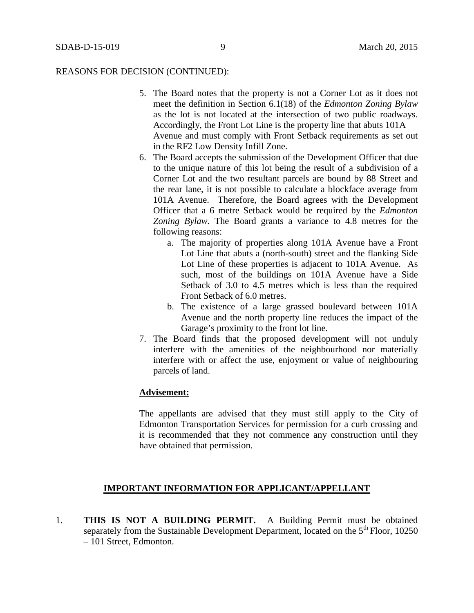#### REASONS FOR DECISION (CONTINUED):

- 5. The Board notes that the property is not a Corner Lot as it does not meet the definition in Section 6.1(18) of the *Edmonton Zoning Bylaw* as the lot is not located at the intersection of two public roadways. Accordingly, the Front Lot Line is the property line that abuts 101A Avenue and must comply with Front Setback requirements as set out in the RF2 Low Density Infill Zone.
- 6. The Board accepts the submission of the Development Officer that due to the unique nature of this lot being the result of a subdivision of a Corner Lot and the two resultant parcels are bound by 88 Street and the rear lane, it is not possible to calculate a blockface average from 101A Avenue. Therefore, the Board agrees with the Development Officer that a 6 metre Setback would be required by the *Edmonton Zoning Bylaw.* The Board grants a variance to 4.8 metres for the following reasons:
	- a. The majority of properties along 101A Avenue have a Front Lot Line that abuts a (north-south) street and the flanking Side Lot Line of these properties is adjacent to 101A Avenue. As such, most of the buildings on 101A Avenue have a Side Setback of 3.0 to 4.5 metres which is less than the required Front Setback of 6.0 metres.
	- b. The existence of a large grassed boulevard between 101A Avenue and the north property line reduces the impact of the Garage's proximity to the front lot line.
- 7. The Board finds that the proposed development will not unduly interfere with the amenities of the neighbourhood nor materially interfere with or affect the use, enjoyment or value of neighbouring parcels of land.

# **Advisement:**

The appellants are advised that they must still apply to the City of Edmonton Transportation Services for permission for a curb crossing and it is recommended that they not commence any construction until they have obtained that permission.

# **IMPORTANT INFORMATION FOR APPLICANT/APPELLANT**

1. **THIS IS NOT A BUILDING PERMIT.** A Building Permit must be obtained separately from the Sustainable Development Department, located on the  $5<sup>th</sup>$  Floor, 10250 – 101 Street, Edmonton.